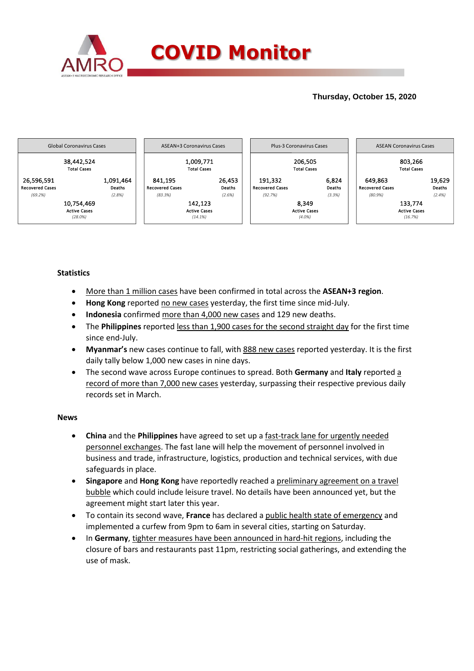

## **Thursday, October 15, 2020**



## **Statistics**

- More than 1 million cases have been confirmed in total across the **ASEAN+3 region**.
- **Hong Kong** reported no new cases yesterday, the first time since mid-July.
- **Indonesia** confirmed more than 4,000 new cases and 129 new deaths.
- The Philippines reported less than 1,900 cases for the second straight day for the first time since end-July.
- **Myanmar's** new cases continue to fall, with 888 new cases reported yesterday. It is the first daily tally below 1,000 new cases in nine days.
- The second wave across Europe continues to spread. Both **Germany** and **Italy** reported a record of more than 7,000 new cases yesterday, surpassing their respective previous daily records set in March.

### **News**

- **China** and the **Philippines** have agreed to set up a fast-track lane for urgently needed personnel exchanges. The fast lane will help the movement of personnel involved in business and trade, infrastructure, logistics, production and technical services, with due safeguards in place.
- **Singapore** and **Hong Kong** have reportedly reached a preliminary agreement on a travel bubble which could include leisure travel. No details have been announced yet, but the agreement might start later this year.
- To contain its second wave, **France** has declared a public health state of emergency and implemented a curfew from 9pm to 6am in several cities, starting on Saturday.
- In **Germany**, tighter measures have been announced in hard-hit regions, including the closure of bars and restaurants past 11pm, restricting social gatherings, and extending the use of mask.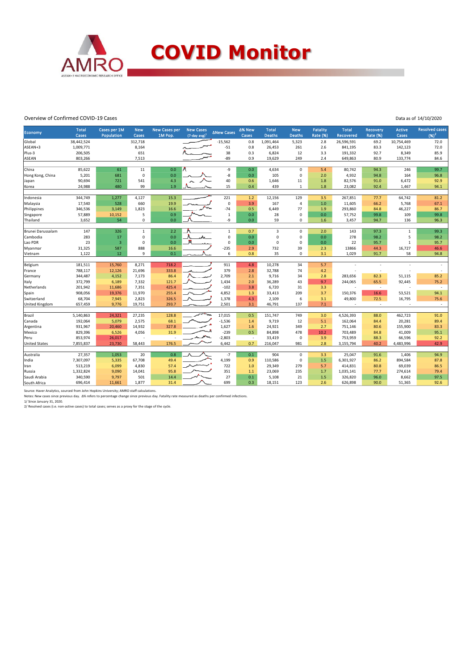

#### Overview of Confirmed COVID-19 Cases

| Data as of 14/10/2020 |
|-----------------------|
|                       |

| <b>Economy</b>                | <b>Total</b> | Cases per 1M   | <b>New</b>                  | <b>New Cases per</b> | <b>New Cases</b>            | <b>∆New Cases</b>    | ∆% New                   | <b>Total</b>        | <b>New</b>                 | <b>Fatality</b> | <b>Total</b>             | <b>Recovery</b> | <b>Active</b>       | <b>Resolved cases</b>    |
|-------------------------------|--------------|----------------|-----------------------------|----------------------|-----------------------------|----------------------|--------------------------|---------------------|----------------------------|-----------------|--------------------------|-----------------|---------------------|--------------------------|
|                               | Cases        | Population     | Cases                       | 1M Pop.              | $(7$ -day avg) <sup>1</sup> |                      | Cases                    | <b>Deaths</b>       | <b>Deaths</b>              | <b>Rate (%)</b> | Recovered                | <b>Rate (%)</b> | Cases               | $(96)^2$                 |
| Global                        | 38,442,524   |                | 312,718                     |                      |                             | $-15,562$            | 0.8                      | 1,091,464           | 5,323                      | 2.8             | 26,596,591               | 69.2            | 10,754,469          | 72.0                     |
| ASEAN+3                       | 1,009,771    |                | 8,164                       |                      |                             | $-51$                | 0.8                      | 26,453              | 261                        | 2.6             | 841,195                  | 83.3            | 142,123             | 72.0                     |
| Plus-3                        | 206,505      |                | 651                         |                      |                             | 38<br>$-89$          | 0.3                      | 6,824               | 12                         | 3.3             | 191,332                  | 92.7            | 8,349               | 85.9                     |
| <b>ASEAN</b>                  | 803,266      |                | 7,513                       |                      |                             |                      | 0.9                      | 19,629              | 249                        | 2.4             | 649,863                  | 80.9            | 133,774             | 84.6                     |
| China                         | 85,622       | 61             | 11                          | 0.0                  |                             | -9                   | 0.0                      | 4,634               | $\mathbf 0$                | 5.4             | 80,742                   | 94.3            | 246                 | 99.7                     |
| Hong Kong, China              | 5,201        | 681            | $\pmb{0}$                   | 0.0                  |                             | -8                   | 0.0                      | 105                 | $\mathsf 0$                | 2.0             | 4,932                    | 94.8            | 164                 | 96.8                     |
| Japan                         | 90,694       | 721            | 541                         | 4.3                  |                             | 40                   | 0.6                      | 1,646               | 11                         | 1.8             | 82,576                   | 91.0            | 6,472               | 92.9                     |
| Korea                         | 24,988       | 480            | 99                          | 1.9                  |                             | 15                   | 0.4                      | 439                 | $\mathbf{1}$               | 1.8             | 23,082                   | 92.4            | 1,467               | 94.1                     |
|                               |              |                |                             |                      |                             |                      |                          |                     |                            |                 |                          |                 |                     |                          |
| Indonesia                     | 344,749      | 1,277          | 4,127                       | 15.3                 |                             | 221                  | $1.2\,$                  | 12,156              | 129                        | 3.5             | 267,851                  | 77.7            | 64,742              | 81.2                     |
| Malaysia                      | 17,540       | 528            | 660                         | 19.9                 |                             | $\mathsf{O}\xspace$  | 3.9                      | 167                 | $\overline{4}$             | $1.0$           | 11,605                   | 66.2            | 5,768               | 67.1                     |
| Philippines                   | 346,536      | 3,149          | 1,823                       | 16.6                 |                             | $-74$                | 0.5                      | 6,449               | 77                         | 1.9             | 293,860                  | 84.8            | 46,227              | 86.7                     |
| Singapore                     | 57,889       | 10,152         | 5                           | 0.9                  |                             | $\mathbf{1}$         | 0.0                      | 28                  | $\pmb{0}$                  | 0.0             | 57,752                   | 99.8            | 109                 | 99.8                     |
| Thailand                      | 3,652        | 54             | $\mathbf 0$                 | 0.0                  |                             | -9                   | 0.0                      | 59                  | 0                          | 1.6             | 3,457                    | 94.7            | 136                 | 96.3                     |
|                               |              |                |                             | 2.2                  |                             |                      |                          |                     |                            |                 |                          |                 |                     |                          |
| Brunei Darussalam<br>Cambodia | 147<br>283   | 326<br>17      | $\mathbf{1}$<br>$\mathbf 0$ | 0.0                  |                             | $1\,$<br>$\mathsf 0$ | 0.7<br>0.0               | $\overline{3}$<br>0 | $\mathbf 0$<br>$\mathsf 0$ | 2.0<br>0.0      | 143<br>278               | 97.3<br>98.2    | $\mathbf{1}$<br>5   | 99.3                     |
| Lao PDR                       | 23           | $\overline{3}$ | $\Omega$                    | 0.0                  |                             | $\mathbf 0$          | 0.0                      | $\Omega$            | $\mathbf 0$                | 0.0             | 22                       | 95.7            | $\mathbf{1}$        | 98.2<br>95.7             |
|                               | 31,325       | 587            | 888                         | 16.6                 |                             | $-235$               | 2.9                      | 732                 | 39                         | 2.3             | 13866                    | 44.3            | 16,727              | 46.6                     |
| Myanmar<br>Vietnam            | 1,122        | 12             | 9                           | 0.1                  |                             | 6                    | 0.8                      | 35                  | 0                          | 3.1             | 1,029                    | 91.7            | 58                  | 94.8                     |
|                               |              |                |                             |                      |                             |                      |                          |                     |                            |                 |                          |                 |                     |                          |
| Belgium                       | 181,511      | 15,760         | 8,271                       | 718.2                |                             | 911                  | 4.8                      | 10,278              | 34                         | 5.7             |                          |                 |                     | $\overline{\phantom{a}}$ |
| France                        | 788,117      | 12,126         | 21,696                      | 333.8                |                             | 379                  | 2.8                      | 32,788              | 74                         | 4.2             |                          | J.              |                     | $\overline{\phantom{a}}$ |
| Germany                       | 344,487      | 4,152          | 7,173                       | 86.4                 |                             | 2,709                | 2.1                      | 9,716               | 34                         | 2.8             | 283,656                  | 82.3            | 51,115              | 85.2                     |
| Italy                         | 372,799      | 6,189          | 7,332                       | 121.7                |                             | 1,434                | 2.0                      | 36,289              | 43                         | 9.7             | 244,065                  | 65.5            | 92,445              | 75.2                     |
| Netherlands                   | 201,942      | 11,686         | 7,351                       | 425.4                |                             | $-102$               | 3.8                      | 6,720               | 31                         | 3.3             | ÷,                       | $\sim$          |                     | $\overline{\phantom{a}}$ |
| Spain                         | 908,056      | 19,376         | 11,970                      | 255.4                |                             | 4,852                | 1.3                      | 33,413              | 209                        | 3.7             | 150,376                  | 16.6            | 53,521              | 94.1                     |
| Switzerland                   | 68,704       | 7,945          | 2,823                       | 326.5                |                             | 1,378                | 4.3                      | 2,109               | 6                          | 3.1             | 49,800                   | 72.5            | 16,795              | 75.6                     |
| <b>United Kingdom</b>         | 657,459      | 9,776          | 19,751                      | 293.7                |                             | 2,501                | 3.1                      | 46,791              | 137                        | 7.1             | $\overline{\phantom{a}}$ | ÷               |                     | $\sim$                   |
|                               |              |                |                             |                      |                             |                      |                          |                     |                            |                 |                          |                 |                     |                          |
| Brazil                        | 5,140,863    | 24,321         | 27,235                      | 128.8                |                             | 17,015               | 0.5                      | 151,747             | 749                        | 3.0             | 4,526,393                | 88.0            | 462,723             | 91.0                     |
| Canada                        | 192,064      | 5,079          | 2,575                       | 68.1                 |                             | $-1,536$             | 1.4                      | 9,719               | 12                         | 5.1             | 162,064                  | 84.4            | 20,281              | 89.4                     |
| Argentina                     | 931,967      | 20,460         | 14,932                      | 327.8                |                             | 1,627                | 1.6                      | 24,921              | 349                        | 2.7             | 751,146                  | 80.6            | 155,900             | 83.3                     |
| Mexico                        | 829,396      | 6,526          | 4,056                       | 31.9                 |                             | $-239$               | 0.5                      | 84,898              | 478                        | 10.2            | 703,489                  | 84.8            | 41,009              | 95.1                     |
| Peru                          | 853,974      | 26,017         |                             |                      |                             | $-2,803$<br>6,442    | $\overline{\phantom{a}}$ | 33,419              | $\mathbf 0$                | 3.9             | 753,959                  | 88.3            | 66,596<br>4,483,996 | 92.2                     |
| <b>United States</b>          | 7,855,837    | 23,730         | 58,443                      | 176.5                |                             |                      | 0.7                      | 216,047             | 981                        | 2.8             | 3,155,794                | 40.2            |                     | 42.9                     |
| Australia                     | 27,357       | 1,053          | 20                          | 0.8                  |                             | $-7$                 | 0.1                      | 904                 | $\mathbf 0$                | 3.3             | 25,047                   | 91.6            | 1,406               | 94.9                     |
| India                         | 7,307,097    | 5,335          | 67,708                      | 49.4                 |                             | 4,199                | 0.9                      | 110,586             | $\mathsf 0$                | 1.5             | 6,301,927                | 86.2            | 894,584             | 87.8                     |
| Iran                          | 513,219      | 6,099          | 4,830                       | 57.4                 |                             | 722                  | 1.0                      | 29,349              | 279                        | 5.7             | 414,831                  | 80.8            | 69,039              | 86.5                     |
| Russia                        | 1,332,824    | 9,090          | 14,041                      | 95.8                 |                             | 351                  | $1.1$                    | 23,069              | 235                        | 1.7             | 1,035,141                | 77.7            | 274,614             | 79.4                     |
| Saudi Arabia                  | 340,590      | 9,797          | 501                         | 14.4                 |                             | 27                   | 0.1                      | 5,108               | 21                         | 1.5             | 326,820                  | 96.0            | 8,662               | 97.5                     |
| South Africa                  | 696,414      | 11,661         | 1,877                       | 31.4                 |                             | 699                  | 0.3                      | 18,151              | 123                        | 2.6             | 626,898                  | 90.0            | 51,365              | 92.6                     |
|                               |              |                |                             |                      |                             |                      |                          |                     |                            |                 |                          |                 |                     |                          |

Source: Haver Analytics, sourced from John Hopkins University; AMRO staff calculations.<br>Notes: New cases since previous day. Δ% refers to percentage change since previous day. Fatality rate measured as deaths per confirme